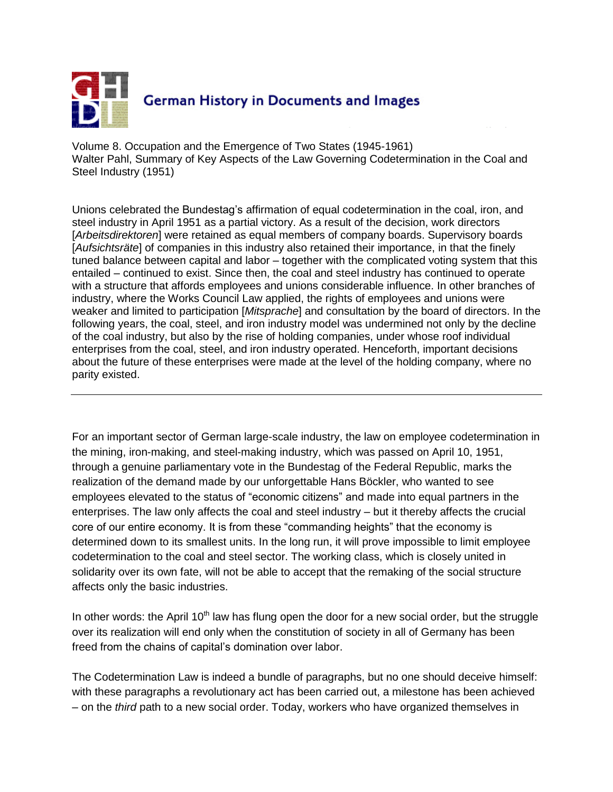

Volume 8. Occupation and the Emergence of Two States (1945-1961) Walter Pahl, Summary of Key Aspects of the Law Governing Codetermination in the Coal and Steel Industry (1951)

Unions celebrated the Bundestag's affirmation of equal codetermination in the coal, iron, and steel industry in April 1951 as a partial victory. As a result of the decision, work directors [*Arbeitsdirektoren*] were retained as equal members of company boards. Supervisory boards [*Aufsichtsräte*] of companies in this industry also retained their importance, in that the finely tuned balance between capital and labor – together with the complicated voting system that this entailed – continued to exist. Since then, the coal and steel industry has continued to operate with a structure that affords employees and unions considerable influence. In other branches of industry, where the Works Council Law applied, the rights of employees and unions were weaker and limited to participation [*Mitsprache*] and consultation by the board of directors. In the following years, the coal, steel, and iron industry model was undermined not only by the decline of the coal industry, but also by the rise of holding companies, under whose roof individual enterprises from the coal, steel, and iron industry operated. Henceforth, important decisions about the future of these enterprises were made at the level of the holding company, where no parity existed.

For an important sector of German large-scale industry, the law on employee codetermination in the mining, iron-making, and steel-making industry, which was passed on April 10, 1951, through a genuine parliamentary vote in the Bundestag of the Federal Republic, marks the realization of the demand made by our unforgettable Hans Böckler, who wanted to see employees elevated to the status of "economic citizens" and made into equal partners in the enterprises. The law only affects the coal and steel industry – but it thereby affects the crucial core of our entire economy. It is from these "commanding heights" that the economy is determined down to its smallest units. In the long run, it will prove impossible to limit employee codetermination to the coal and steel sector. The working class, which is closely united in solidarity over its own fate, will not be able to accept that the remaking of the social structure affects only the basic industries.

In other words: the April  $10<sup>th</sup>$  law has flung open the door for a new social order, but the struggle over its realization will end only when the constitution of society in all of Germany has been freed from the chains of capital's domination over labor.

The Codetermination Law is indeed a bundle of paragraphs, but no one should deceive himself: with these paragraphs a revolutionary act has been carried out, a milestone has been achieved – on the *third* path to a new social order. Today, workers who have organized themselves in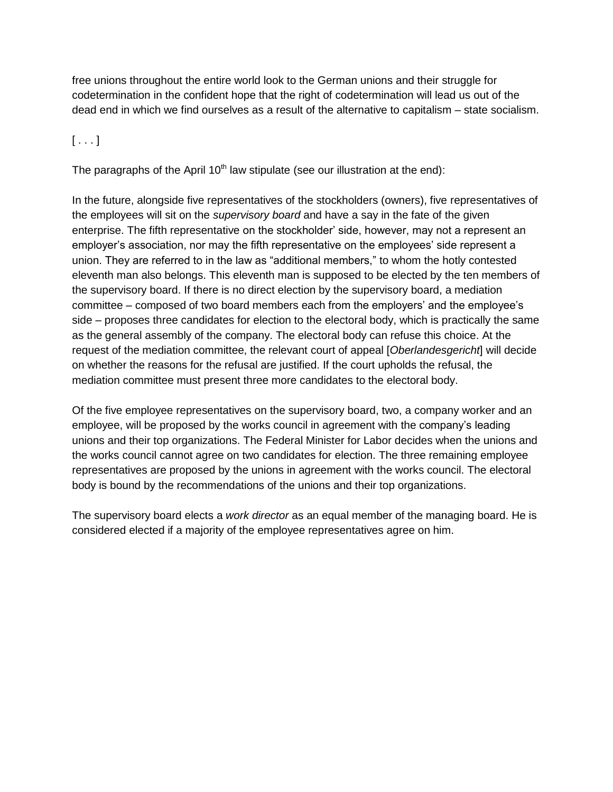free unions throughout the entire world look to the German unions and their struggle for codetermination in the confident hope that the right of codetermination will lead us out of the dead end in which we find ourselves as a result of the alternative to capitalism – state socialism.

## $[\ldots]$

The paragraphs of the April  $10<sup>th</sup>$  law stipulate (see our illustration at the end):

In the future, alongside five representatives of the stockholders (owners), five representatives of the employees will sit on the *supervisory board* and have a say in the fate of the given enterprise. The fifth representative on the stockholder' side, however, may not a represent an employer's association, nor may the fifth representative on the employees' side represent a union. They are referred to in the law as "additional members," to whom the hotly contested eleventh man also belongs. This eleventh man is supposed to be elected by the ten members of the supervisory board. If there is no direct election by the supervisory board, a mediation committee – composed of two board members each from the employers' and the employee's side – proposes three candidates for election to the electoral body, which is practically the same as the general assembly of the company. The electoral body can refuse this choice. At the request of the mediation committee, the relevant court of appeal [*Oberlandesgericht*] will decide on whether the reasons for the refusal are justified. If the court upholds the refusal, the mediation committee must present three more candidates to the electoral body.

Of the five employee representatives on the supervisory board, two, a company worker and an employee, will be proposed by the works council in agreement with the company's leading unions and their top organizations. The Federal Minister for Labor decides when the unions and the works council cannot agree on two candidates for election. The three remaining employee representatives are proposed by the unions in agreement with the works council. The electoral body is bound by the recommendations of the unions and their top organizations.

The supervisory board elects a *work director* as an equal member of the managing board. He is considered elected if a majority of the employee representatives agree on him.